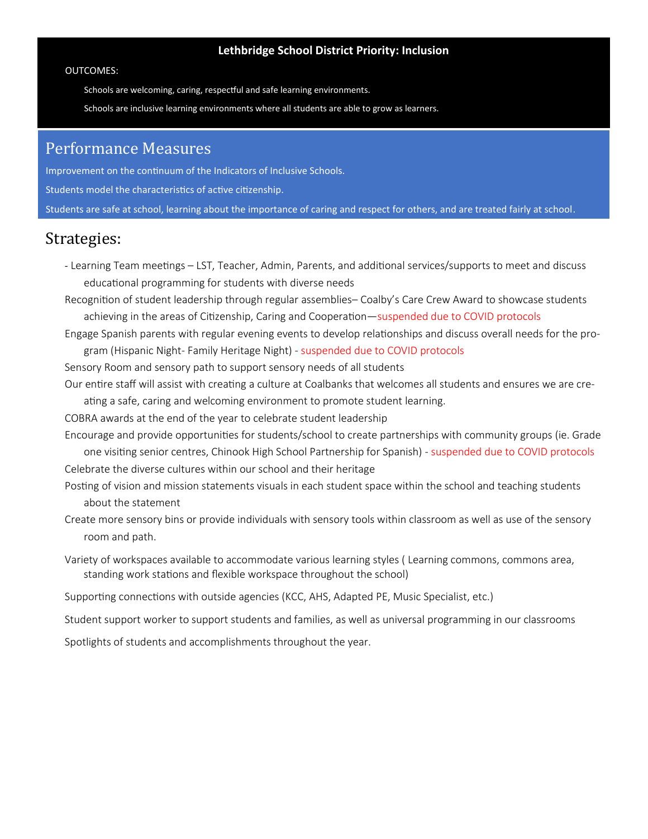#### **Lethbridge School District Priority: Inclusion**

#### OUTCOMES:

Schools are welcoming, caring, respectful and safe learning environments.

Schools are inclusive learning environments where all students are able to grow as learners.

## Performance Measures

Improvement on the continuum of the Indicators of Inclusive Schools. Students model the characteristics of active citizenship. Students are safe at school, learning about the importance of caring and respect for others, and are treated fairly at school.

## Strategies:

- Learning Team meetings – LST, Teacher, Admin, Parents, and additional services/supports to meet and discuss educational programming for students with diverse needs

Recognition of student leadership through regular assemblies– Coalby's Care Crew Award to showcase students achieving in the areas of Citizenship, Caring and Cooperation—suspended due to COVID protocols

Engage Spanish parents with regular evening events to develop relationships and discuss overall needs for the program (Hispanic Night- Family Heritage Night) - suspended due to COVID protocols

Sensory Room and sensory path to support sensory needs of all students

Our entire staff will assist with creating a culture at Coalbanks that welcomes all students and ensures we are creating a safe, caring and welcoming environment to promote student learning.

COBRA awards at the end of the year to celebrate student leadership

Encourage and provide opportunities for students/school to create partnerships with community groups (ie. Grade one visiting senior centres, Chinook High School Partnership for Spanish) - suspended due to COVID protocols

Celebrate the diverse cultures within our school and their heritage

Posting of vision and mission statements visuals in each student space within the school and teaching students about the statement

- Create more sensory bins or provide individuals with sensory tools within classroom as well as use of the sensory room and path.
- Variety of workspaces available to accommodate various learning styles ( Learning commons, commons area, standing work stations and flexible workspace throughout the school)

Supporting connections with outside agencies (KCC, AHS, Adapted PE, Music Specialist, etc.)

Student support worker to support students and families, as well as universal programming in our classrooms

Spotlights of students and accomplishments throughout the year.